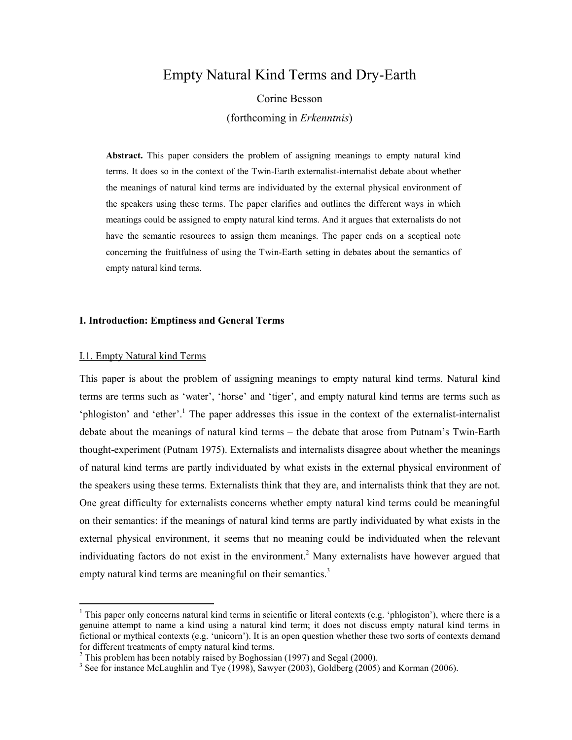# Empty Natural Kind Terms and Dry-Earth

Corine Besson

(forthcoming in *Erkenntnis*)

**Abstract.** This paper considers the problem of assigning meanings to empty natural kind terms. It does so in the context of the Twin-Earth externalist-internalist debate about whether the meanings of natural kind terms are individuated by the external physical environment of the speakers using these terms. The paper clarifies and outlines the different ways in which meanings could be assigned to empty natural kind terms. And it argues that externalists do not have the semantic resources to assign them meanings. The paper ends on a sceptical note concerning the fruitfulness of using the Twin-Earth setting in debates about the semantics of empty natural kind terms.

# **I. Introduction: Emptiness and General Terms**

# I.1. Empty Natural kind Terms

-

This paper is about the problem of assigning meanings to empty natural kind terms. Natural kind terms are terms such as 'water', 'horse' and 'tiger', and empty natural kind terms are terms such as 'phlogiston' and 'ether'.<sup>1</sup> The paper addresses this issue in the context of the externalist-internalist debate about the meanings of natural kind terms – the debate that arose from Putnam's Twin-Earth thought-experiment (Putnam 1975). Externalists and internalists disagree about whether the meanings of natural kind terms are partly individuated by what exists in the external physical environment of the speakers using these terms. Externalists think that they are, and internalists think that they are not. One great difficulty for externalists concerns whether empty natural kind terms could be meaningful on their semantics: if the meanings of natural kind terms are partly individuated by what exists in the external physical environment, it seems that no meaning could be individuated when the relevant individuating factors do not exist in the environment.<sup>2</sup> Many externalists have however argued that empty natural kind terms are meaningful on their semantics.<sup>3</sup>

<sup>&</sup>lt;sup>1</sup> This paper only concerns natural kind terms in scientific or literal contexts (e.g. 'phlogiston'), where there is a genuine attempt to name a kind using a natural kind term; it does not discuss empty natural kind terms in fictional or mythical contexts (e.g. 'unicorn'). It is an open question whether these two sorts of contexts demand for different treatments of empty natural kind terms.

 $2$ <sup>2</sup> This problem has been notably raised by Boghossian (1997) and Segal (2000).

<sup>&</sup>lt;sup>3</sup> See for instance McLaughlin and Tye (1998), Sawyer (2003), Goldberg (2005) and Korman (2006).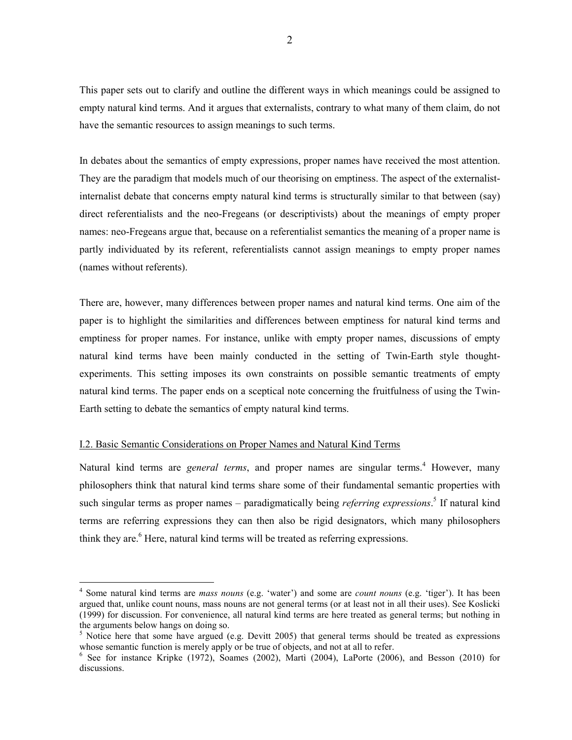This paper sets out to clarify and outline the different ways in which meanings could be assigned to empty natural kind terms. And it argues that externalists, contrary to what many of them claim, do not have the semantic resources to assign meanings to such terms.

In debates about the semantics of empty expressions, proper names have received the most attention. They are the paradigm that models much of our theorising on emptiness. The aspect of the externalistinternalist debate that concerns empty natural kind terms is structurally similar to that between (say) direct referentialists and the neo-Fregeans (or descriptivists) about the meanings of empty proper names: neo-Fregeans argue that, because on a referentialist semantics the meaning of a proper name is partly individuated by its referent, referentialists cannot assign meanings to empty proper names (names without referents).

There are, however, many differences between proper names and natural kind terms. One aim of the paper is to highlight the similarities and differences between emptiness for natural kind terms and emptiness for proper names. For instance, unlike with empty proper names, discussions of empty natural kind terms have been mainly conducted in the setting of Twin-Earth style thoughtexperiments. This setting imposes its own constraints on possible semantic treatments of empty natural kind terms. The paper ends on a sceptical note concerning the fruitfulness of using the Twin-Earth setting to debate the semantics of empty natural kind terms.

# I.2. Basic Semantic Considerations on Proper Names and Natural Kind Terms

-

Natural kind terms are *general terms*, and proper names are singular terms.<sup>4</sup> However, many philosophers think that natural kind terms share some of their fundamental semantic properties with such singular terms as proper names – paradigmatically being *referring expressions*. 5 If natural kind terms are referring expressions they can then also be rigid designators, which many philosophers think they are.<sup>6</sup> Here, natural kind terms will be treated as referring expressions.

<sup>4</sup> Some natural kind terms are *mass nouns* (e.g. 'water') and some are *count nouns* (e.g. 'tiger'). It has been argued that, unlike count nouns, mass nouns are not general terms (or at least not in all their uses). See Koslicki (1999) for discussion. For convenience, all natural kind terms are here treated as general terms; but nothing in the arguments below hangs on doing so.

<sup>&</sup>lt;sup>5</sup> Notice here that some have argued (e.g. Devitt 2005) that general terms should be treated as expressions whose semantic function is merely apply or be true of objects, and not at all to refer.

<sup>6</sup> See for instance Kripke (1972), Soames (2002), Martì (2004), LaPorte (2006), and Besson (2010) for discussions.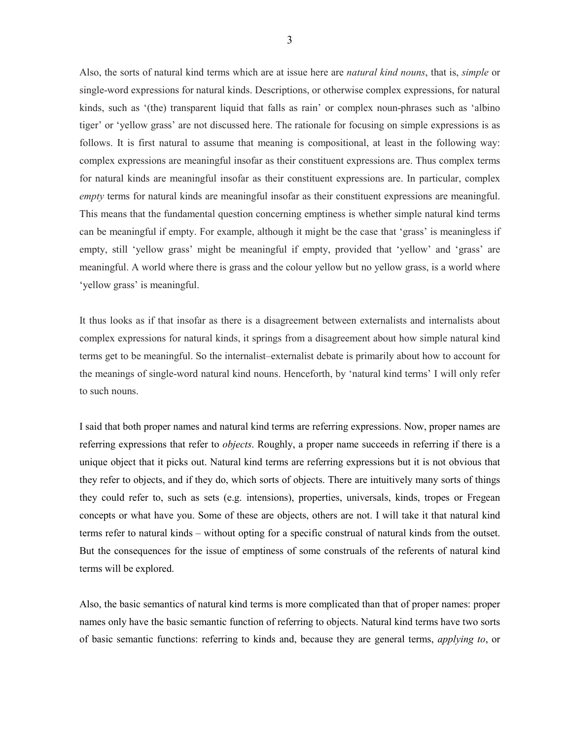Also, the sorts of natural kind terms which are at issue here are *natural kind nouns*, that is, *simple* or single-word expressions for natural kinds. Descriptions, or otherwise complex expressions, for natural kinds, such as '(the) transparent liquid that falls as rain' or complex noun-phrases such as 'albino tiger' or 'yellow grass' are not discussed here. The rationale for focusing on simple expressions is as follows. It is first natural to assume that meaning is compositional, at least in the following way: complex expressions are meaningful insofar as their constituent expressions are. Thus complex terms for natural kinds are meaningful insofar as their constituent expressions are. In particular, complex *empty* terms for natural kinds are meaningful insofar as their constituent expressions are meaningful. This means that the fundamental question concerning emptiness is whether simple natural kind terms can be meaningful if empty. For example, although it might be the case that 'grass' is meaningless if empty, still 'yellow grass' might be meaningful if empty, provided that 'yellow' and 'grass' are meaningful. A world where there is grass and the colour yellow but no yellow grass, is a world where 'yellow grass' is meaningful.

It thus looks as if that insofar as there is a disagreement between externalists and internalists about complex expressions for natural kinds, it springs from a disagreement about how simple natural kind terms get to be meaningful. So the internalist–externalist debate is primarily about how to account for the meanings of single-word natural kind nouns. Henceforth, by 'natural kind terms' I will only refer to such nouns.

I said that both proper names and natural kind terms are referring expressions. Now, proper names are referring expressions that refer to *objects*. Roughly, a proper name succeeds in referring if there is a unique object that it picks out. Natural kind terms are referring expressions but it is not obvious that they refer to objects, and if they do, which sorts of objects. There are intuitively many sorts of things they could refer to, such as sets (e.g. intensions), properties, universals, kinds, tropes or Fregean concepts or what have you. Some of these are objects, others are not. I will take it that natural kind terms refer to natural kinds – without opting for a specific construal of natural kinds from the outset. But the consequences for the issue of emptiness of some construals of the referents of natural kind terms will be explored.

Also, the basic semantics of natural kind terms is more complicated than that of proper names: proper names only have the basic semantic function of referring to objects. Natural kind terms have two sorts of basic semantic functions: referring to kinds and, because they are general terms, *applying to*, or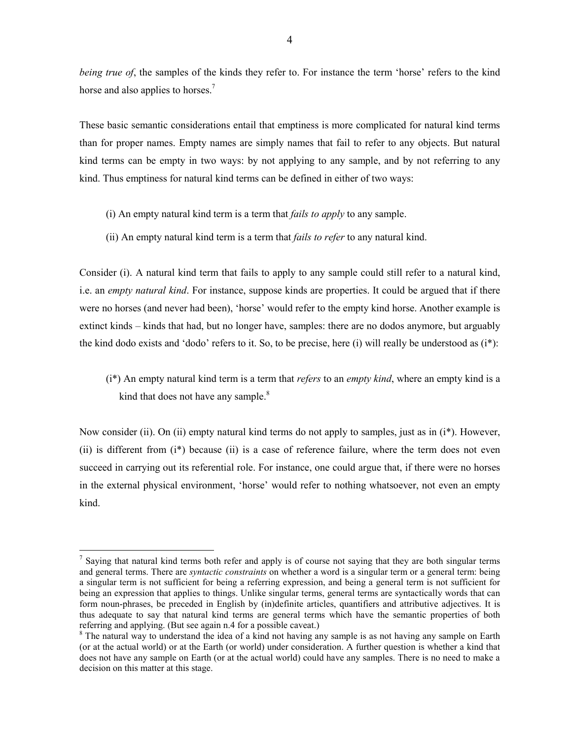*being true of*, the samples of the kinds they refer to. For instance the term 'horse' refers to the kind horse and also applies to horses.<sup>7</sup>

These basic semantic considerations entail that emptiness is more complicated for natural kind terms than for proper names. Empty names are simply names that fail to refer to any objects. But natural kind terms can be empty in two ways: by not applying to any sample, and by not referring to any kind. Thus emptiness for natural kind terms can be defined in either of two ways:

- (i) An empty natural kind term is a term that *fails to apply* to any sample.
- (ii) An empty natural kind term is a term that *fails to refer* to any natural kind.

Consider (i). A natural kind term that fails to apply to any sample could still refer to a natural kind, i.e. an *empty natural kind*. For instance, suppose kinds are properties. It could be argued that if there were no horses (and never had been), 'horse' would refer to the empty kind horse. Another example is extinct kinds – kinds that had, but no longer have, samples: there are no dodos anymore, but arguably the kind dodo exists and 'dodo' refers to it. So, to be precise, here (i) will really be understood as  $(i^*)$ :

(i\*) An empty natural kind term is a term that *refers* to an *empty kind*, where an empty kind is a kind that does not have any sample.<sup>8</sup>

Now consider (ii). On (ii) empty natural kind terms do not apply to samples, just as in (i\*). However, (ii) is different from (i\*) because (ii) is a case of reference failure, where the term does not even succeed in carrying out its referential role. For instance, one could argue that, if there were no horses in the external physical environment, 'horse' would refer to nothing whatsoever, not even an empty kind.

-

 $<sup>7</sup>$  Saying that natural kind terms both refer and apply is of course not saying that they are both singular terms</sup> and general terms. There are *syntactic constraints* on whether a word is a singular term or a general term: being a singular term is not sufficient for being a referring expression, and being a general term is not sufficient for being an expression that applies to things. Unlike singular terms, general terms are syntactically words that can form noun-phrases, be preceded in English by (in)definite articles, quantifiers and attributive adjectives. It is thus adequate to say that natural kind terms are general terms which have the semantic properties of both referring and applying. (But see again n.4 for a possible caveat.)

<sup>&</sup>lt;sup>8</sup> The natural way to understand the idea of a kind not having any sample is as not having any sample on Earth (or at the actual world) or at the Earth (or world) under consideration. A further question is whether a kind that does not have any sample on Earth (or at the actual world) could have any samples. There is no need to make a decision on this matter at this stage.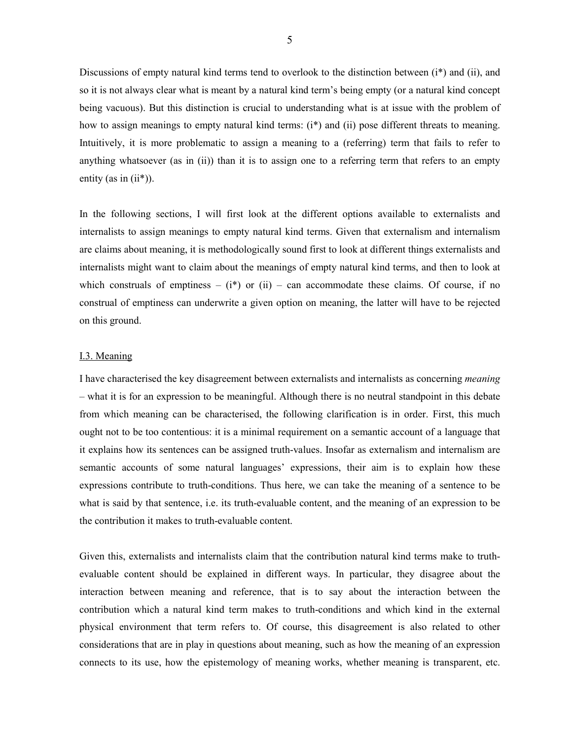Discussions of empty natural kind terms tend to overlook to the distinction between (i\*) and (ii), and so it is not always clear what is meant by a natural kind term's being empty (or a natural kind concept being vacuous). But this distinction is crucial to understanding what is at issue with the problem of how to assign meanings to empty natural kind terms:  $(i^*)$  and  $(ii)$  pose different threats to meaning. Intuitively, it is more problematic to assign a meaning to a (referring) term that fails to refer to anything whatsoever (as in (ii)) than it is to assign one to a referring term that refers to an empty entity (as in  $(ii<sup>*</sup>)$ ).

In the following sections, I will first look at the different options available to externalists and internalists to assign meanings to empty natural kind terms. Given that externalism and internalism are claims about meaning, it is methodologically sound first to look at different things externalists and internalists might want to claim about the meanings of empty natural kind terms, and then to look at which construals of emptiness –  $(i^*)$  or  $(ii)$  – can accommodate these claims. Of course, if no construal of emptiness can underwrite a given option on meaning, the latter will have to be rejected on this ground.

# I.3. Meaning

I have characterised the key disagreement between externalists and internalists as concerning *meaning* – what it is for an expression to be meaningful. Although there is no neutral standpoint in this debate from which meaning can be characterised, the following clarification is in order. First, this much ought not to be too contentious: it is a minimal requirement on a semantic account of a language that it explains how its sentences can be assigned truth-values. Insofar as externalism and internalism are semantic accounts of some natural languages' expressions, their aim is to explain how these expressions contribute to truth-conditions. Thus here, we can take the meaning of a sentence to be what is said by that sentence, i.e. its truth-evaluable content, and the meaning of an expression to be the contribution it makes to truth-evaluable content.

Given this, externalists and internalists claim that the contribution natural kind terms make to truthevaluable content should be explained in different ways. In particular, they disagree about the interaction between meaning and reference, that is to say about the interaction between the contribution which a natural kind term makes to truth-conditions and which kind in the external physical environment that term refers to. Of course, this disagreement is also related to other considerations that are in play in questions about meaning, such as how the meaning of an expression connects to its use, how the epistemology of meaning works, whether meaning is transparent, etc.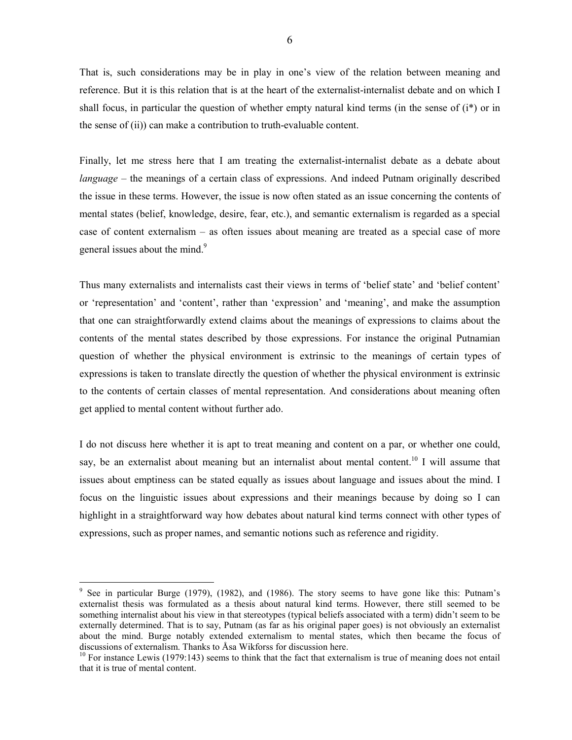That is, such considerations may be in play in one's view of the relation between meaning and reference. But it is this relation that is at the heart of the externalist-internalist debate and on which I shall focus, in particular the question of whether empty natural kind terms (in the sense of (i\*) or in the sense of (ii)) can make a contribution to truth-evaluable content.

Finally, let me stress here that I am treating the externalist-internalist debate as a debate about *language* – the meanings of a certain class of expressions. And indeed Putnam originally described the issue in these terms. However, the issue is now often stated as an issue concerning the contents of mental states (belief, knowledge, desire, fear, etc.), and semantic externalism is regarded as a special case of content externalism – as often issues about meaning are treated as a special case of more general issues about the mind.<sup>9</sup>

Thus many externalists and internalists cast their views in terms of 'belief state' and 'belief content' or 'representation' and 'content', rather than 'expression' and 'meaning', and make the assumption that one can straightforwardly extend claims about the meanings of expressions to claims about the contents of the mental states described by those expressions. For instance the original Putnamian question of whether the physical environment is extrinsic to the meanings of certain types of expressions is taken to translate directly the question of whether the physical environment is extrinsic to the contents of certain classes of mental representation. And considerations about meaning often get applied to mental content without further ado.

I do not discuss here whether it is apt to treat meaning and content on a par, or whether one could, say, be an externalist about meaning but an internalist about mental content.<sup>10</sup> I will assume that issues about emptiness can be stated equally as issues about language and issues about the mind. I focus on the linguistic issues about expressions and their meanings because by doing so I can highlight in a straightforward way how debates about natural kind terms connect with other types of expressions, such as proper names, and semantic notions such as reference and rigidity.

<sup>&</sup>lt;sup>9</sup> See in particular Burge (1979), (1982), and (1986). The story seems to have gone like this: Putnam's externalist thesis was formulated as a thesis about natural kind terms. However, there still seemed to be something internalist about his view in that stereotypes (typical beliefs associated with a term) didn't seem to be externally determined. That is to say, Putnam (as far as his original paper goes) is not obviously an externalist about the mind. Burge notably extended externalism to mental states, which then became the focus of discussions of externalism. Thanks to Åsa Wikforss for discussion here.

 $10$  For instance Lewis (1979:143) seems to think that the fact that externalism is true of meaning does not entail that it is true of mental content.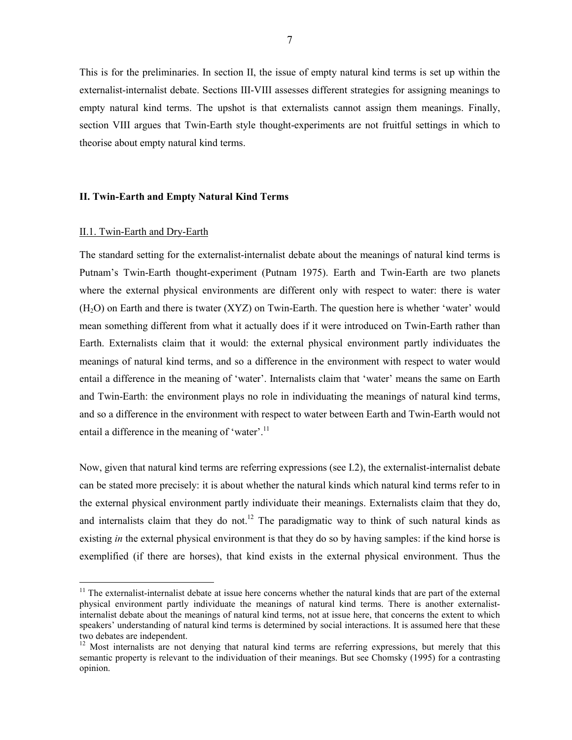This is for the preliminaries. In section II, the issue of empty natural kind terms is set up within the externalist-internalist debate. Sections III-VIII assesses different strategies for assigning meanings to empty natural kind terms. The upshot is that externalists cannot assign them meanings. Finally, section VIII argues that Twin-Earth style thought-experiments are not fruitful settings in which to theorise about empty natural kind terms.

### **II. Twin-Earth and Empty Natural Kind Terms**

#### II.1. Twin-Earth and Dry-Earth

-

The standard setting for the externalist-internalist debate about the meanings of natural kind terms is Putnam's Twin-Earth thought-experiment (Putnam 1975). Earth and Twin-Earth are two planets where the external physical environments are different only with respect to water: there is water (H2O) on Earth and there is twater (XYZ) on Twin-Earth. The question here is whether 'water' would mean something different from what it actually does if it were introduced on Twin-Earth rather than Earth. Externalists claim that it would: the external physical environment partly individuates the meanings of natural kind terms, and so a difference in the environment with respect to water would entail a difference in the meaning of 'water'. Internalists claim that 'water' means the same on Earth and Twin-Earth: the environment plays no role in individuating the meanings of natural kind terms, and so a difference in the environment with respect to water between Earth and Twin-Earth would not entail a difference in the meaning of 'water'.<sup>11</sup>

Now, given that natural kind terms are referring expressions (see I.2), the externalist-internalist debate can be stated more precisely: it is about whether the natural kinds which natural kind terms refer to in the external physical environment partly individuate their meanings. Externalists claim that they do, and internalists claim that they do not.<sup>12</sup> The paradigmatic way to think of such natural kinds as existing *in* the external physical environment is that they do so by having samples: if the kind horse is exemplified (if there are horses), that kind exists in the external physical environment. Thus the

<sup>&</sup>lt;sup>11</sup> The externalist-internalist debate at issue here concerns whether the natural kinds that are part of the external physical environment partly individuate the meanings of natural kind terms. There is another externalistinternalist debate about the meanings of natural kind terms, not at issue here, that concerns the extent to which speakers' understanding of natural kind terms is determined by social interactions. It is assumed here that these two debates are independent.

<sup>&</sup>lt;sup>12</sup> Most internalists are not denying that natural kind terms are referring expressions, but merely that this semantic property is relevant to the individuation of their meanings. But see Chomsky (1995) for a contrasting opinion.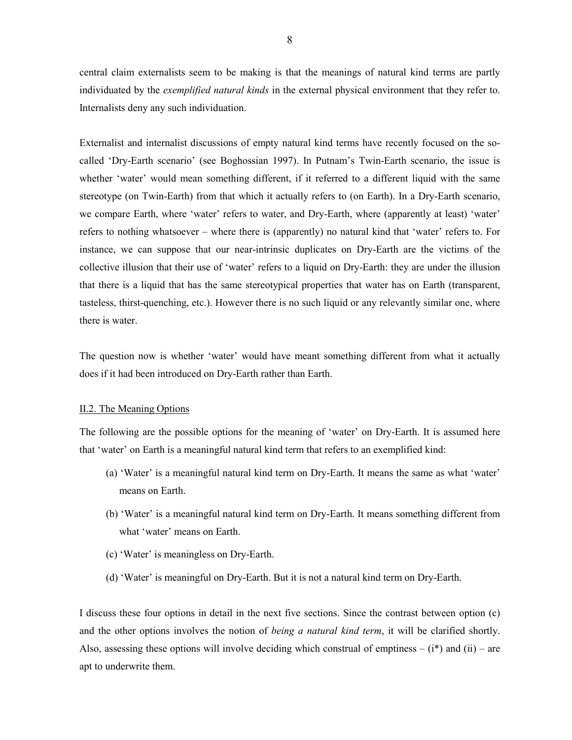central claim externalists seem to be making is that the meanings of natural kind terms are partly individuated by the *exemplified natural kinds* in the external physical environment that they refer to. Internalists deny any such individuation.

Externalist and internalist discussions of empty natural kind terms have recently focused on the socalled 'Dry-Earth scenario' (see Boghossian 1997). In Putnam's Twin-Earth scenario, the issue is whether 'water' would mean something different, if it referred to a different liquid with the same stereotype (on Twin-Earth) from that which it actually refers to (on Earth). In a Dry-Earth scenario, we compare Earth, where 'water' refers to water, and Dry-Earth, where (apparently at least) 'water' refers to nothing whatsoever – where there is (apparently) no natural kind that 'water' refers to. For instance, we can suppose that our near-intrinsic duplicates on Dry-Earth are the victims of the collective illusion that their use of 'water' refers to a liquid on Dry-Earth: they are under the illusion that there is a liquid that has the same stereotypical properties that water has on Earth (transparent, tasteless, thirst-quenching, etc.). However there is no such liquid or any relevantly similar one, where there is water.

The question now is whether 'water' would have meant something different from what it actually does if it had been introduced on Dry-Earth rather than Earth.

#### II.2. The Meaning Options

The following are the possible options for the meaning of 'water' on Dry-Earth. It is assumed here that 'water' on Earth is a meaningful natural kind term that refers to an exemplified kind:

- (a) 'Water' is a meaningful natural kind term on Dry-Earth. It means the same as what 'water' means on Earth.
- (b) 'Water' is a meaningful natural kind term on Dry-Earth. It means something different from what 'water' means on Earth.
- (c) 'Water' is meaningless on Dry-Earth.
- (d) 'Water' is meaningful on Dry-Earth. But it is not a natural kind term on Dry-Earth.

I discuss these four options in detail in the next five sections. Since the contrast between option (c) and the other options involves the notion of *being a natural kind term*, it will be clarified shortly. Also, assessing these options will involve deciding which construal of emptiness  $-$  (i<sup>\*</sup>) and (ii) – are apt to underwrite them.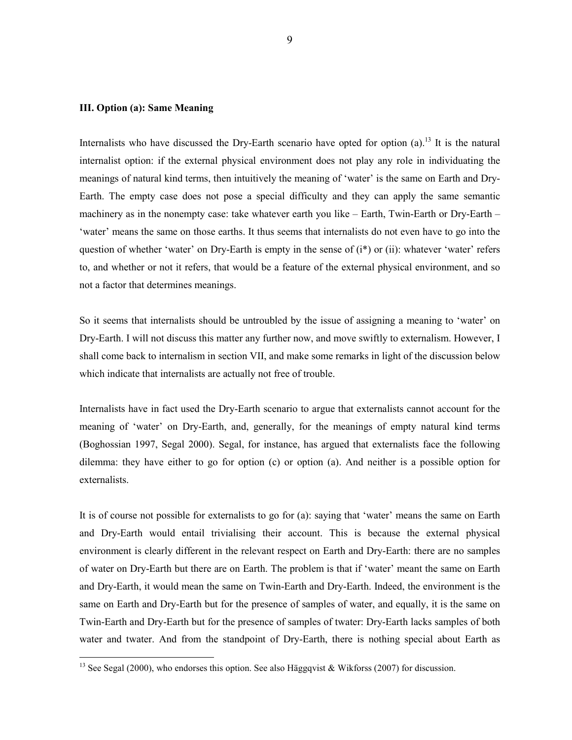# **III. Option (a): Same Meaning**

<u>.</u>

Internalists who have discussed the Dry-Earth scenario have opted for option  $(a)$ .<sup>13</sup> It is the natural internalist option: if the external physical environment does not play any role in individuating the meanings of natural kind terms, then intuitively the meaning of 'water' is the same on Earth and Dry-Earth. The empty case does not pose a special difficulty and they can apply the same semantic machinery as in the nonempty case: take whatever earth you like – Earth, Twin-Earth or Dry-Earth – 'water' means the same on those earths. It thus seems that internalists do not even have to go into the question of whether 'water' on Dry-Earth is empty in the sense of  $(i^*)$  or (ii): whatever 'water' refers to, and whether or not it refers, that would be a feature of the external physical environment, and so not a factor that determines meanings.

So it seems that internalists should be untroubled by the issue of assigning a meaning to 'water' on Dry-Earth. I will not discuss this matter any further now, and move swiftly to externalism. However, I shall come back to internalism in section VII, and make some remarks in light of the discussion below which indicate that internalists are actually not free of trouble.

Internalists have in fact used the Dry-Earth scenario to argue that externalists cannot account for the meaning of 'water' on Dry-Earth, and, generally, for the meanings of empty natural kind terms (Boghossian 1997, Segal 2000). Segal, for instance, has argued that externalists face the following dilemma: they have either to go for option (c) or option (a). And neither is a possible option for externalists.

It is of course not possible for externalists to go for (a): saying that 'water' means the same on Earth and Dry-Earth would entail trivialising their account. This is because the external physical environment is clearly different in the relevant respect on Earth and Dry-Earth: there are no samples of water on Dry-Earth but there are on Earth. The problem is that if 'water' meant the same on Earth and Dry-Earth, it would mean the same on Twin-Earth and Dry-Earth. Indeed, the environment is the same on Earth and Dry-Earth but for the presence of samples of water, and equally, it is the same on Twin-Earth and Dry-Earth but for the presence of samples of twater: Dry-Earth lacks samples of both water and twater. And from the standpoint of Dry-Earth, there is nothing special about Earth as

<sup>&</sup>lt;sup>13</sup> See Segal (2000), who endorses this option. See also Häggqvist & Wikforss (2007) for discussion.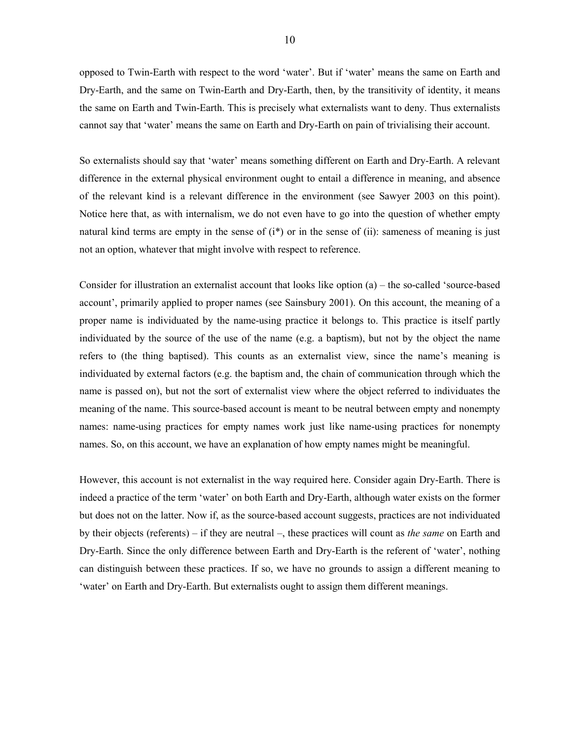opposed to Twin-Earth with respect to the word 'water'. But if 'water' means the same on Earth and Dry-Earth, and the same on Twin-Earth and Dry-Earth, then, by the transitivity of identity, it means the same on Earth and Twin-Earth. This is precisely what externalists want to deny. Thus externalists cannot say that 'water' means the same on Earth and Dry-Earth on pain of trivialising their account.

So externalists should say that 'water' means something different on Earth and Dry-Earth. A relevant difference in the external physical environment ought to entail a difference in meaning, and absence of the relevant kind is a relevant difference in the environment (see Sawyer 2003 on this point). Notice here that, as with internalism, we do not even have to go into the question of whether empty natural kind terms are empty in the sense of  $(i^*)$  or in the sense of  $(ii)$ : sameness of meaning is just not an option, whatever that might involve with respect to reference.

Consider for illustration an externalist account that looks like option (a) – the so-called 'source-based account', primarily applied to proper names (see Sainsbury 2001). On this account, the meaning of a proper name is individuated by the name-using practice it belongs to. This practice is itself partly individuated by the source of the use of the name (e.g. a baptism), but not by the object the name refers to (the thing baptised). This counts as an externalist view, since the name's meaning is individuated by external factors (e.g. the baptism and, the chain of communication through which the name is passed on), but not the sort of externalist view where the object referred to individuates the meaning of the name. This source-based account is meant to be neutral between empty and nonempty names: name-using practices for empty names work just like name-using practices for nonempty names. So, on this account, we have an explanation of how empty names might be meaningful.

However, this account is not externalist in the way required here. Consider again Dry-Earth. There is indeed a practice of the term 'water' on both Earth and Dry-Earth, although water exists on the former but does not on the latter. Now if, as the source-based account suggests, practices are not individuated by their objects (referents) – if they are neutral –, these practices will count as *the same* on Earth and Dry-Earth. Since the only difference between Earth and Dry-Earth is the referent of 'water', nothing can distinguish between these practices. If so, we have no grounds to assign a different meaning to 'water' on Earth and Dry-Earth. But externalists ought to assign them different meanings.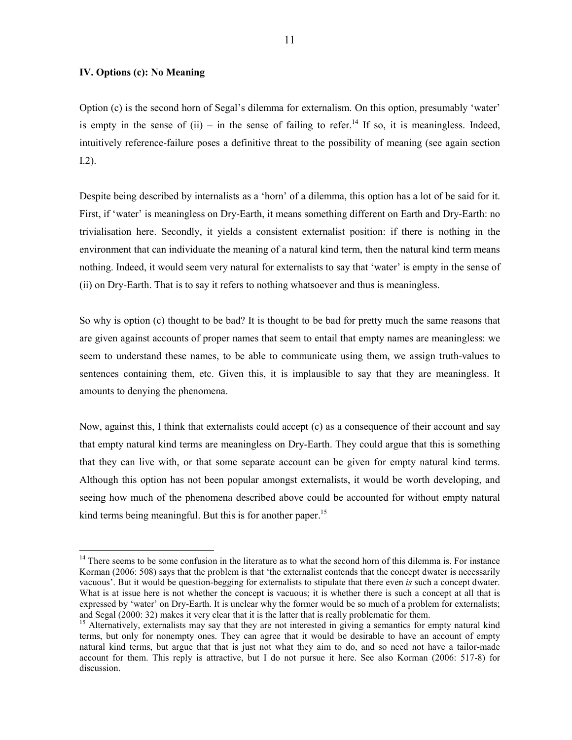# **IV. Options (c): No Meaning**

-

Option (c) is the second horn of Segal's dilemma for externalism. On this option, presumably 'water' is empty in the sense of (ii) – in the sense of failing to refer.<sup>14</sup> If so, it is meaningless. Indeed, intuitively reference-failure poses a definitive threat to the possibility of meaning (see again section I.2).

Despite being described by internalists as a 'horn' of a dilemma, this option has a lot of be said for it. First, if 'water' is meaningless on Dry-Earth, it means something different on Earth and Dry-Earth: no trivialisation here. Secondly, it yields a consistent externalist position: if there is nothing in the environment that can individuate the meaning of a natural kind term, then the natural kind term means nothing. Indeed, it would seem very natural for externalists to say that 'water' is empty in the sense of (ii) on Dry-Earth. That is to say it refers to nothing whatsoever and thus is meaningless.

So why is option (c) thought to be bad? It is thought to be bad for pretty much the same reasons that are given against accounts of proper names that seem to entail that empty names are meaningless: we seem to understand these names, to be able to communicate using them, we assign truth-values to sentences containing them, etc. Given this, it is implausible to say that they are meaningless. It amounts to denying the phenomena.

Now, against this, I think that externalists could accept (c) as a consequence of their account and say that empty natural kind terms are meaningless on Dry-Earth. They could argue that this is something that they can live with, or that some separate account can be given for empty natural kind terms. Although this option has not been popular amongst externalists, it would be worth developing, and seeing how much of the phenomena described above could be accounted for without empty natural kind terms being meaningful. But this is for another paper.<sup>15</sup>

 $14$  There seems to be some confusion in the literature as to what the second horn of this dilemma is. For instance Korman (2006: 508) says that the problem is that 'the externalist contends that the concept dwater is necessarily vacuous'. But it would be question-begging for externalists to stipulate that there even *is* such a concept dwater. What is at issue here is not whether the concept is vacuous; it is whether there is such a concept at all that is expressed by 'water' on Dry-Earth. It is unclear why the former would be so much of a problem for externalists; and Segal (2000: 32) makes it very clear that it is the latter that is really problematic for them.

<sup>&</sup>lt;sup>15</sup> Alternatively, externalists may say that they are not interested in giving a semantics for empty natural kind terms, but only for nonempty ones. They can agree that it would be desirable to have an account of empty natural kind terms, but argue that that is just not what they aim to do, and so need not have a tailor-made account for them. This reply is attractive, but I do not pursue it here. See also Korman (2006: 517-8) for discussion.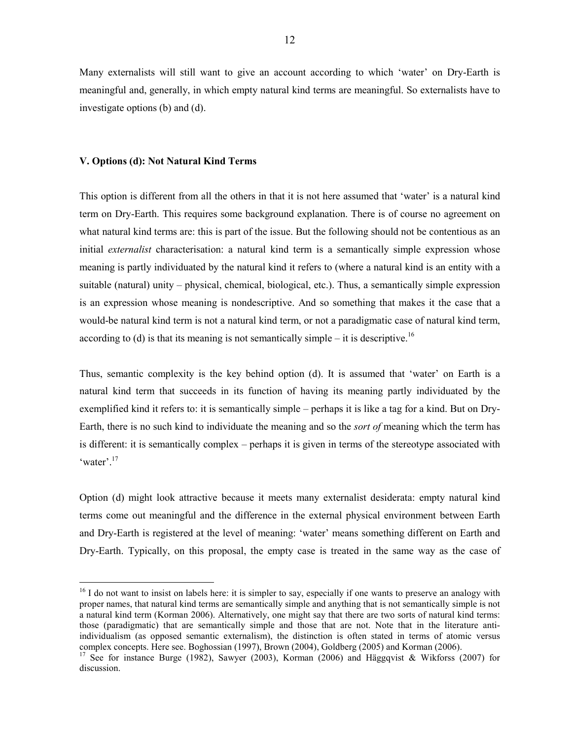Many externalists will still want to give an account according to which 'water' on Dry-Earth is meaningful and, generally, in which empty natural kind terms are meaningful. So externalists have to investigate options (b) and (d).

#### **V. Options (d): Not Natural Kind Terms**

-

This option is different from all the others in that it is not here assumed that 'water' is a natural kind term on Dry-Earth. This requires some background explanation. There is of course no agreement on what natural kind terms are: this is part of the issue. But the following should not be contentious as an initial *externalist* characterisation: a natural kind term is a semantically simple expression whose meaning is partly individuated by the natural kind it refers to (where a natural kind is an entity with a suitable (natural) unity – physical, chemical, biological, etc.). Thus, a semantically simple expression is an expression whose meaning is nondescriptive. And so something that makes it the case that a would-be natural kind term is not a natural kind term, or not a paradigmatic case of natural kind term, according to (d) is that its meaning is not semantically simple – it is descriptive.<sup>16</sup>

Thus, semantic complexity is the key behind option (d). It is assumed that 'water' on Earth is a natural kind term that succeeds in its function of having its meaning partly individuated by the exemplified kind it refers to: it is semantically simple – perhaps it is like a tag for a kind. But on Dry-Earth, there is no such kind to individuate the meaning and so the *sort of* meaning which the term has is different: it is semantically complex – perhaps it is given in terms of the stereotype associated with  $\cdot$ water<sup>, 17</sup>

Option (d) might look attractive because it meets many externalist desiderata: empty natural kind terms come out meaningful and the difference in the external physical environment between Earth and Dry-Earth is registered at the level of meaning: 'water' means something different on Earth and Dry-Earth. Typically, on this proposal, the empty case is treated in the same way as the case of

 $^{16}$  I do not want to insist on labels here: it is simpler to say, especially if one wants to preserve an analogy with proper names, that natural kind terms are semantically simple and anything that is not semantically simple is not a natural kind term (Korman 2006). Alternatively, one might say that there are two sorts of natural kind terms: those (paradigmatic) that are semantically simple and those that are not. Note that in the literature antiindividualism (as opposed semantic externalism), the distinction is often stated in terms of atomic versus complex concepts. Here see. Boghossian (1997), Brown (2004), Goldberg (2005) and Korman (2006).

<sup>&</sup>lt;sup>17</sup> See for instance Burge (1982), Sawyer (2003), Korman (2006) and Häggqvist & Wikforss (2007) for discussion.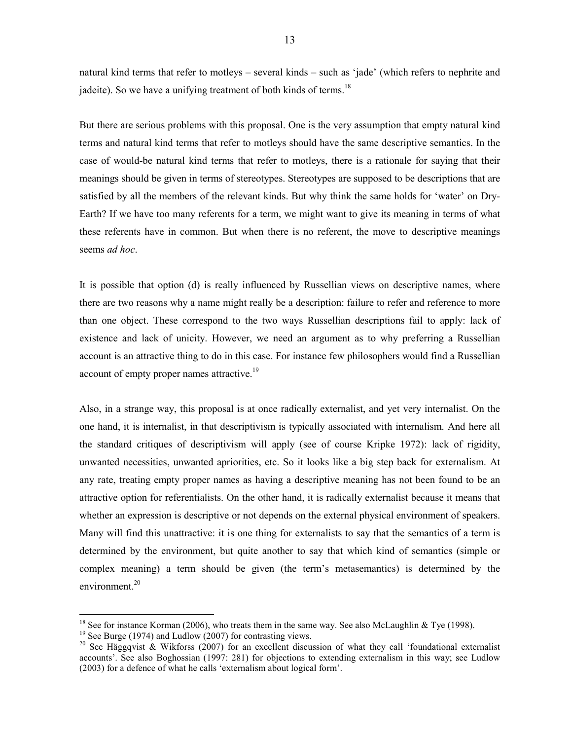natural kind terms that refer to motleys – several kinds – such as 'jade' (which refers to nephrite and jadeite). So we have a unifying treatment of both kinds of terms.<sup>18</sup>

But there are serious problems with this proposal. One is the very assumption that empty natural kind terms and natural kind terms that refer to motleys should have the same descriptive semantics. In the case of would-be natural kind terms that refer to motleys, there is a rationale for saying that their meanings should be given in terms of stereotypes. Stereotypes are supposed to be descriptions that are satisfied by all the members of the relevant kinds. But why think the same holds for 'water' on Dry-Earth? If we have too many referents for a term, we might want to give its meaning in terms of what these referents have in common. But when there is no referent, the move to descriptive meanings seems *ad hoc*.

It is possible that option (d) is really influenced by Russellian views on descriptive names, where there are two reasons why a name might really be a description: failure to refer and reference to more than one object. These correspond to the two ways Russellian descriptions fail to apply: lack of existence and lack of unicity. However, we need an argument as to why preferring a Russellian account is an attractive thing to do in this case. For instance few philosophers would find a Russellian account of empty proper names attractive.<sup>19</sup>

Also, in a strange way, this proposal is at once radically externalist, and yet very internalist. On the one hand, it is internalist, in that descriptivism is typically associated with internalism. And here all the standard critiques of descriptivism will apply (see of course Kripke 1972): lack of rigidity, unwanted necessities, unwanted apriorities, etc. So it looks like a big step back for externalism. At any rate, treating empty proper names as having a descriptive meaning has not been found to be an attractive option for referentialists. On the other hand, it is radically externalist because it means that whether an expression is descriptive or not depends on the external physical environment of speakers. Many will find this unattractive: it is one thing for externalists to say that the semantics of a term is determined by the environment, but quite another to say that which kind of semantics (simple or complex meaning) a term should be given (the term's metasemantics) is determined by the environment. $20$ 

-

<sup>&</sup>lt;sup>18</sup> See for instance Korman (2006), who treats them in the same way. See also McLaughlin & Tye (1998).

<sup>&</sup>lt;sup>19</sup> See Burge (1974) and Ludlow (2007) for contrasting views.

<sup>&</sup>lt;sup>20</sup> See Häggqvist  $\&$  Wikforss (2007) for an excellent discussion of what they call 'foundational externalist accounts'. See also Boghossian (1997: 281) for objections to extending externalism in this way; see Ludlow (2003) for a defence of what he calls 'externalism about logical form'.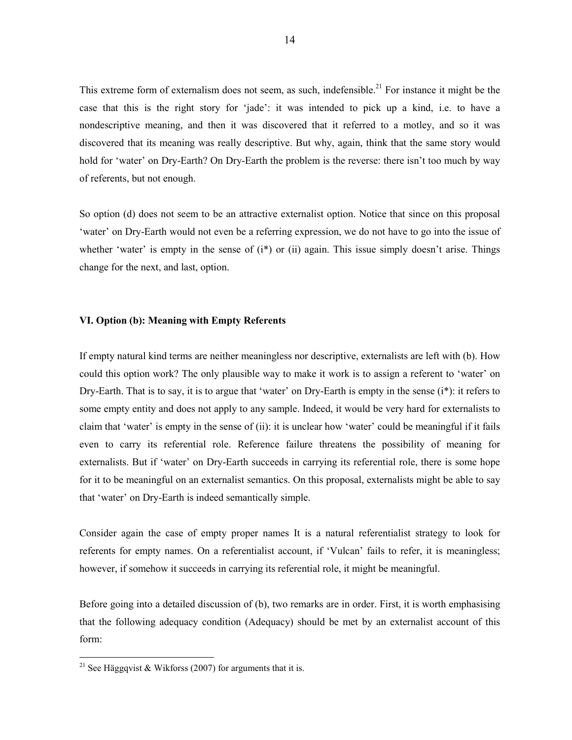This extreme form of externalism does not seem, as such, indefensible.<sup>21</sup> For instance it might be the case that this is the right story for 'jade': it was intended to pick up a kind, i.e. to have a nondescriptive meaning, and then it was discovered that it referred to a motley, and so it was discovered that its meaning was really descriptive. But why, again, think that the same story would hold for 'water' on Dry-Earth? On Dry-Earth the problem is the reverse: there isn't too much by way of referents, but not enough.

So option (d) does not seem to be an attractive externalist option. Notice that since on this proposal 'water' on Dry-Earth would not even be a referring expression, we do not have to go into the issue of whether 'water' is empty in the sense of  $(i^*)$  or  $(ii)$  again. This issue simply doesn't arise. Things change for the next, and last, option.

## **VI. Option (b): Meaning with Empty Referents**

If empty natural kind terms are neither meaningless nor descriptive, externalists are left with (b). How could this option work? The only plausible way to make it work is to assign a referent to 'water' on Dry-Earth. That is to say, it is to argue that 'water' on Dry-Earth is empty in the sense (i\*): it refers to some empty entity and does not apply to any sample. Indeed, it would be very hard for externalists to claim that 'water' is empty in the sense of (ii): it is unclear how 'water' could be meaningful if it fails even to carry its referential role. Reference failure threatens the possibility of meaning for externalists. But if 'water' on Dry-Earth succeeds in carrying its referential role, there is some hope for it to be meaningful on an externalist semantics. On this proposal, externalists might be able to say that 'water' on Dry-Earth is indeed semantically simple.

Consider again the case of empty proper names It is a natural referentialist strategy to look for referents for empty names. On a referentialist account, if 'Vulcan' fails to refer, it is meaningless; however, if somehow it succeeds in carrying its referential role, it might be meaningful.

Before going into a detailed discussion of (b), two remarks are in order. First, it is worth emphasising that the following adequacy condition (Adequacy) should be met by an externalist account of this form:

<u>.</u>

<sup>&</sup>lt;sup>21</sup> See Häggqvist & Wikforss (2007) for arguments that it is.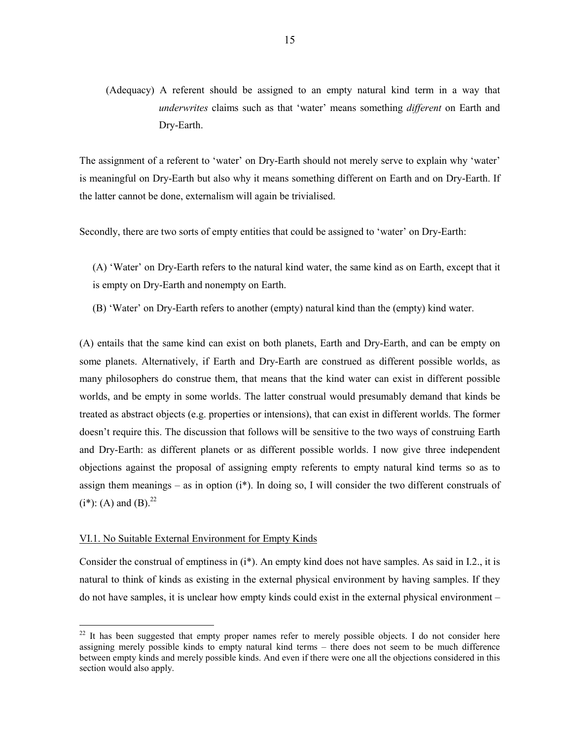(Adequacy) A referent should be assigned to an empty natural kind term in a way that *underwrites* claims such as that 'water' means something *different* on Earth and Dry-Earth.

The assignment of a referent to 'water' on Dry-Earth should not merely serve to explain why 'water' is meaningful on Dry-Earth but also why it means something different on Earth and on Dry-Earth. If the latter cannot be done, externalism will again be trivialised.

Secondly, there are two sorts of empty entities that could be assigned to 'water' on Dry-Earth:

(A) 'Water' on Dry-Earth refers to the natural kind water, the same kind as on Earth, except that it is empty on Dry-Earth and nonempty on Earth.

(B) 'Water' on Dry-Earth refers to another (empty) natural kind than the (empty) kind water.

(A) entails that the same kind can exist on both planets, Earth and Dry-Earth, and can be empty on some planets. Alternatively, if Earth and Dry-Earth are construed as different possible worlds, as many philosophers do construe them, that means that the kind water can exist in different possible worlds, and be empty in some worlds. The latter construal would presumably demand that kinds be treated as abstract objects (e.g. properties or intensions), that can exist in different worlds. The former doesn't require this. The discussion that follows will be sensitive to the two ways of construing Earth and Dry-Earth: as different planets or as different possible worlds. I now give three independent objections against the proposal of assigning empty referents to empty natural kind terms so as to assign them meanings – as in option  $(i^*)$ . In doing so, I will consider the two different construals of  $(i^*)$ : (A) and (B).<sup>22</sup>

# VI.1. No Suitable External Environment for Empty Kinds

<u>.</u>

Consider the construal of emptiness in  $(i^*)$ . An empty kind does not have samples. As said in I.2., it is natural to think of kinds as existing in the external physical environment by having samples. If they do not have samples, it is unclear how empty kinds could exist in the external physical environment –

 $22$  It has been suggested that empty proper names refer to merely possible objects. I do not consider here assigning merely possible kinds to empty natural kind terms – there does not seem to be much difference between empty kinds and merely possible kinds. And even if there were one all the objections considered in this section would also apply.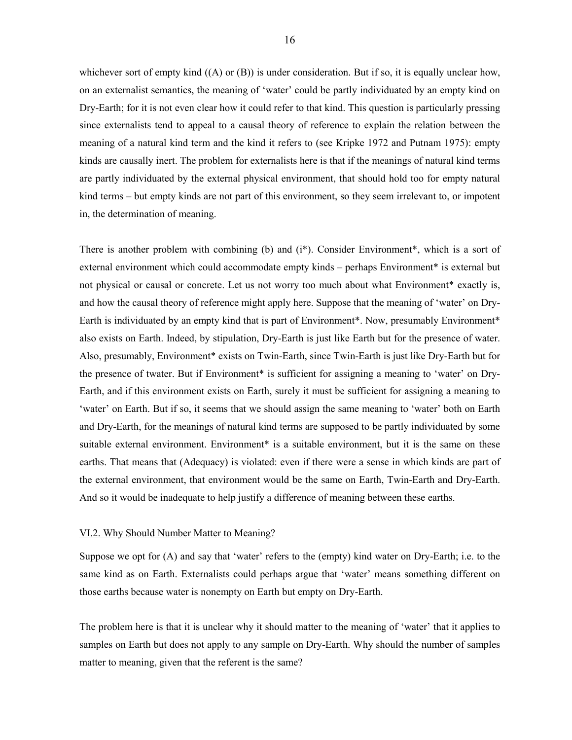whichever sort of empty kind ((A) or (B)) is under consideration. But if so, it is equally unclear how, on an externalist semantics, the meaning of 'water' could be partly individuated by an empty kind on Dry-Earth; for it is not even clear how it could refer to that kind. This question is particularly pressing since externalists tend to appeal to a causal theory of reference to explain the relation between the meaning of a natural kind term and the kind it refers to (see Kripke 1972 and Putnam 1975): empty kinds are causally inert. The problem for externalists here is that if the meanings of natural kind terms are partly individuated by the external physical environment, that should hold too for empty natural kind terms – but empty kinds are not part of this environment, so they seem irrelevant to, or impotent in, the determination of meaning.

There is another problem with combining (b) and (i\*). Consider Environment\*, which is a sort of external environment which could accommodate empty kinds – perhaps Environment\* is external but not physical or causal or concrete. Let us not worry too much about what Environment\* exactly is, and how the causal theory of reference might apply here. Suppose that the meaning of 'water' on Dry-Earth is individuated by an empty kind that is part of Environment\*. Now, presumably Environment\* also exists on Earth. Indeed, by stipulation, Dry-Earth is just like Earth but for the presence of water. Also, presumably, Environment\* exists on Twin-Earth, since Twin-Earth is just like Dry-Earth but for the presence of twater. But if Environment<sup>\*</sup> is sufficient for assigning a meaning to 'water' on Dry-Earth, and if this environment exists on Earth, surely it must be sufficient for assigning a meaning to 'water' on Earth. But if so, it seems that we should assign the same meaning to 'water' both on Earth and Dry-Earth, for the meanings of natural kind terms are supposed to be partly individuated by some suitable external environment. Environment<sup>\*</sup> is a suitable environment, but it is the same on these earths. That means that (Adequacy) is violated: even if there were a sense in which kinds are part of the external environment, that environment would be the same on Earth, Twin-Earth and Dry-Earth. And so it would be inadequate to help justify a difference of meaning between these earths.

#### VI.2. Why Should Number Matter to Meaning?

Suppose we opt for (A) and say that 'water' refers to the (empty) kind water on Dry-Earth; i.e. to the same kind as on Earth. Externalists could perhaps argue that 'water' means something different on those earths because water is nonempty on Earth but empty on Dry-Earth.

The problem here is that it is unclear why it should matter to the meaning of 'water' that it applies to samples on Earth but does not apply to any sample on Dry-Earth. Why should the number of samples matter to meaning, given that the referent is the same?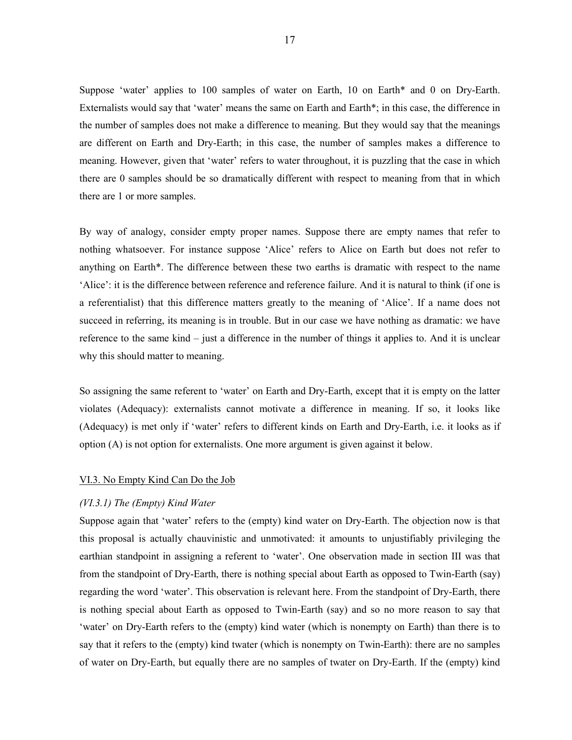Suppose 'water' applies to 100 samples of water on Earth, 10 on Earth\* and 0 on Dry-Earth. Externalists would say that 'water' means the same on Earth and Earth\*; in this case, the difference in the number of samples does not make a difference to meaning. But they would say that the meanings are different on Earth and Dry-Earth; in this case, the number of samples makes a difference to meaning. However, given that 'water' refers to water throughout, it is puzzling that the case in which there are 0 samples should be so dramatically different with respect to meaning from that in which there are 1 or more samples.

By way of analogy, consider empty proper names. Suppose there are empty names that refer to nothing whatsoever. For instance suppose 'Alice' refers to Alice on Earth but does not refer to anything on Earth\*. The difference between these two earths is dramatic with respect to the name 'Alice': it is the difference between reference and reference failure. And it is natural to think (if one is a referentialist) that this difference matters greatly to the meaning of 'Alice'. If a name does not succeed in referring, its meaning is in trouble. But in our case we have nothing as dramatic: we have reference to the same kind – just a difference in the number of things it applies to. And it is unclear why this should matter to meaning.

So assigning the same referent to 'water' on Earth and Dry-Earth, except that it is empty on the latter violates (Adequacy): externalists cannot motivate a difference in meaning. If so, it looks like (Adequacy) is met only if 'water' refers to different kinds on Earth and Dry-Earth, i.e. it looks as if option (A) is not option for externalists. One more argument is given against it below.

## VI.3. No Empty Kind Can Do the Job

# *(VI.3.1) The (Empty) Kind Water*

Suppose again that 'water' refers to the (empty) kind water on Dry-Earth. The objection now is that this proposal is actually chauvinistic and unmotivated: it amounts to unjustifiably privileging the earthian standpoint in assigning a referent to 'water'. One observation made in section III was that from the standpoint of Dry-Earth, there is nothing special about Earth as opposed to Twin-Earth (say) regarding the word 'water'. This observation is relevant here. From the standpoint of Dry-Earth, there is nothing special about Earth as opposed to Twin-Earth (say) and so no more reason to say that 'water' on Dry-Earth refers to the (empty) kind water (which is nonempty on Earth) than there is to say that it refers to the (empty) kind twater (which is nonempty on Twin-Earth): there are no samples of water on Dry-Earth, but equally there are no samples of twater on Dry-Earth. If the (empty) kind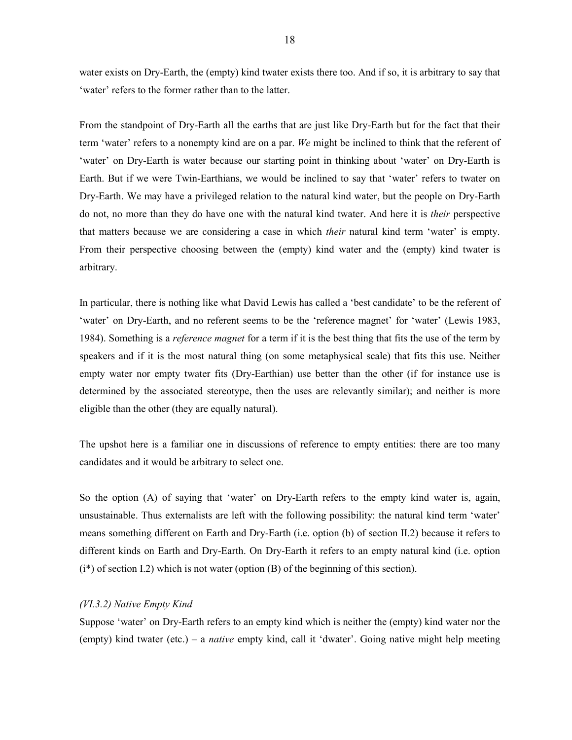water exists on Dry-Earth, the (empty) kind twater exists there too. And if so, it is arbitrary to say that 'water' refers to the former rather than to the latter.

From the standpoint of Dry-Earth all the earths that are just like Dry-Earth but for the fact that their term 'water' refers to a nonempty kind are on a par. *We* might be inclined to think that the referent of 'water' on Dry-Earth is water because our starting point in thinking about 'water' on Dry-Earth is Earth. But if we were Twin-Earthians, we would be inclined to say that 'water' refers to twater on Dry-Earth. We may have a privileged relation to the natural kind water, but the people on Dry-Earth do not, no more than they do have one with the natural kind twater. And here it is *their* perspective that matters because we are considering a case in which *their* natural kind term 'water' is empty. From their perspective choosing between the (empty) kind water and the (empty) kind twater is arbitrary.

In particular, there is nothing like what David Lewis has called a 'best candidate' to be the referent of 'water' on Dry-Earth, and no referent seems to be the 'reference magnet' for 'water' (Lewis 1983, 1984). Something is a *reference magnet* for a term if it is the best thing that fits the use of the term by speakers and if it is the most natural thing (on some metaphysical scale) that fits this use. Neither empty water nor empty twater fits (Dry-Earthian) use better than the other (if for instance use is determined by the associated stereotype, then the uses are relevantly similar); and neither is more eligible than the other (they are equally natural).

The upshot here is a familiar one in discussions of reference to empty entities: there are too many candidates and it would be arbitrary to select one.

So the option (A) of saying that 'water' on Dry-Earth refers to the empty kind water is, again, unsustainable. Thus externalists are left with the following possibility: the natural kind term 'water' means something different on Earth and Dry-Earth (i.e. option (b) of section II.2) because it refers to different kinds on Earth and Dry-Earth. On Dry-Earth it refers to an empty natural kind (i.e. option (i\*) of section I.2) which is not water (option (B) of the beginning of this section).

# *(VI.3.2) Native Empty Kind*

Suppose 'water' on Dry-Earth refers to an empty kind which is neither the (empty) kind water nor the (empty) kind twater (etc.) – a *native* empty kind, call it 'dwater'. Going native might help meeting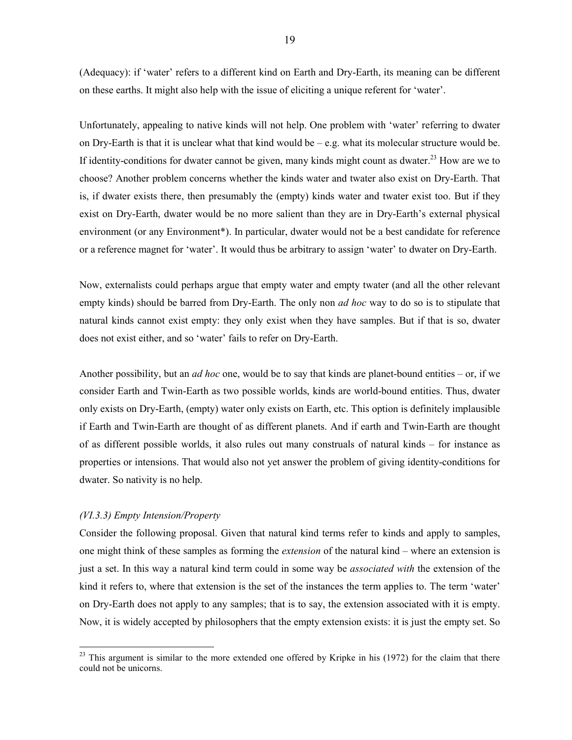(Adequacy): if 'water' refers to a different kind on Earth and Dry-Earth, its meaning can be different on these earths. It might also help with the issue of eliciting a unique referent for 'water'.

Unfortunately, appealing to native kinds will not help. One problem with 'water' referring to dwater on Dry-Earth is that it is unclear what that kind would be  $-e.g.$  what its molecular structure would be. If identity-conditions for dwater cannot be given, many kinds might count as dwater.<sup>23</sup> How are we to choose? Another problem concerns whether the kinds water and twater also exist on Dry-Earth. That is, if dwater exists there, then presumably the (empty) kinds water and twater exist too. But if they exist on Dry-Earth, dwater would be no more salient than they are in Dry-Earth's external physical environment (or any Environment<sup>\*</sup>). In particular, dwater would not be a best candidate for reference or a reference magnet for 'water'. It would thus be arbitrary to assign 'water' to dwater on Dry-Earth.

Now, externalists could perhaps argue that empty water and empty twater (and all the other relevant empty kinds) should be barred from Dry-Earth. The only non *ad hoc* way to do so is to stipulate that natural kinds cannot exist empty: they only exist when they have samples. But if that is so, dwater does not exist either, and so 'water' fails to refer on Dry-Earth.

Another possibility, but an *ad hoc* one, would be to say that kinds are planet-bound entities – or, if we consider Earth and Twin-Earth as two possible worlds, kinds are world-bound entities. Thus, dwater only exists on Dry-Earth, (empty) water only exists on Earth, etc. This option is definitely implausible if Earth and Twin-Earth are thought of as different planets. And if earth and Twin-Earth are thought of as different possible worlds, it also rules out many construals of natural kinds – for instance as properties or intensions. That would also not yet answer the problem of giving identity-conditions for dwater. So nativity is no help.

# *(VI.3.3) Empty Intension/Property*

-

Consider the following proposal. Given that natural kind terms refer to kinds and apply to samples, one might think of these samples as forming the *extension* of the natural kind – where an extension is just a set. In this way a natural kind term could in some way be *associated with* the extension of the kind it refers to, where that extension is the set of the instances the term applies to. The term 'water' on Dry-Earth does not apply to any samples; that is to say, the extension associated with it is empty. Now, it is widely accepted by philosophers that the empty extension exists: it is just the empty set. So

 $23$  This argument is similar to the more extended one offered by Kripke in his (1972) for the claim that there could not be unicorns.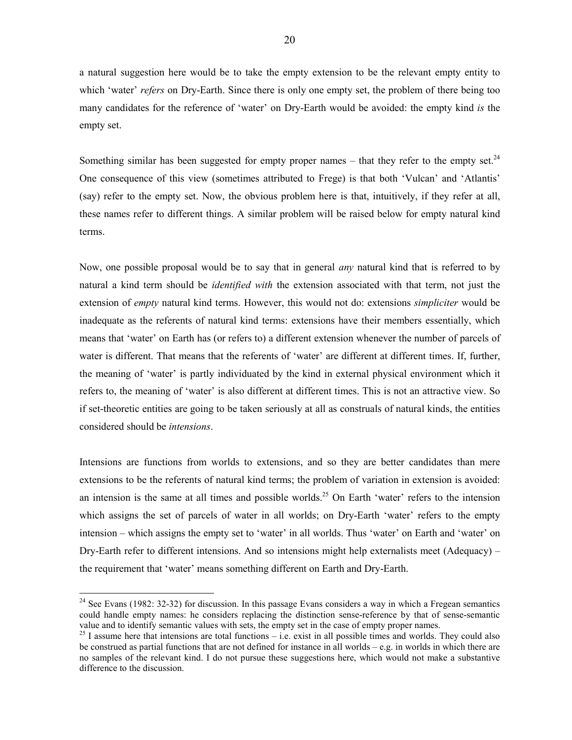a natural suggestion here would be to take the empty extension to be the relevant empty entity to which 'water' *refers* on Dry-Earth. Since there is only one empty set, the problem of there being too many candidates for the reference of 'water' on Dry-Earth would be avoided: the empty kind *is* the empty set.

Something similar has been suggested for empty proper names – that they refer to the empty set.<sup>24</sup> One consequence of this view (sometimes attributed to Frege) is that both 'Vulcan' and 'Atlantis' (say) refer to the empty set. Now, the obvious problem here is that, intuitively, if they refer at all, these names refer to different things. A similar problem will be raised below for empty natural kind terms.

Now, one possible proposal would be to say that in general *any* natural kind that is referred to by natural a kind term should be *identified with* the extension associated with that term, not just the extension of *empty* natural kind terms. However, this would not do: extensions *simpliciter* would be inadequate as the referents of natural kind terms: extensions have their members essentially, which means that 'water' on Earth has (or refers to) a different extension whenever the number of parcels of water is different. That means that the referents of 'water' are different at different times. If, further, the meaning of 'water' is partly individuated by the kind in external physical environment which it refers to, the meaning of 'water' is also different at different times. This is not an attractive view. So if set-theoretic entities are going to be taken seriously at all as construals of natural kinds, the entities considered should be *intensions*.

Intensions are functions from worlds to extensions, and so they are better candidates than mere extensions to be the referents of natural kind terms; the problem of variation in extension is avoided: an intension is the same at all times and possible worlds.<sup>25</sup> On Earth 'water' refers to the intension which assigns the set of parcels of water in all worlds; on Dry-Earth 'water' refers to the empty intension – which assigns the empty set to 'water' in all worlds. Thus 'water' on Earth and 'water' on Dry-Earth refer to different intensions. And so intensions might help externalists meet (Adequacy) – the requirement that 'water' means something different on Earth and Dry-Earth.

<u>.</u>

<sup>&</sup>lt;sup>24</sup> See Evans (1982: 32-32) for discussion. In this passage Evans considers a way in which a Fregean semantics could handle empty names: he considers replacing the distinction sense-reference by that of sense-semantic value and to identify semantic values with sets, the empty set in the case of empty proper names.

 $^{25}$  I assume here that intensions are total functions – i.e. exist in all possible times and worlds. They could also be construed as partial functions that are not defined for instance in all worlds – e.g. in worlds in which there are no samples of the relevant kind. I do not pursue these suggestions here, which would not make a substantive difference to the discussion.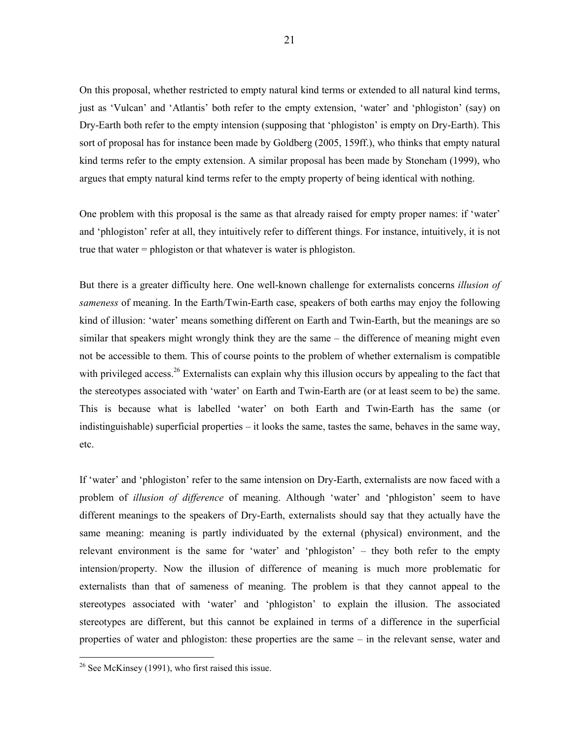On this proposal, whether restricted to empty natural kind terms or extended to all natural kind terms, just as 'Vulcan' and 'Atlantis' both refer to the empty extension, 'water' and 'phlogiston' (say) on Dry-Earth both refer to the empty intension (supposing that 'phlogiston' is empty on Dry-Earth). This sort of proposal has for instance been made by Goldberg (2005, 159ff.), who thinks that empty natural kind terms refer to the empty extension. A similar proposal has been made by Stoneham (1999), who argues that empty natural kind terms refer to the empty property of being identical with nothing.

One problem with this proposal is the same as that already raised for empty proper names: if 'water' and 'phlogiston' refer at all, they intuitively refer to different things. For instance, intuitively, it is not true that water = phlogiston or that whatever is water is phlogiston.

But there is a greater difficulty here. One well-known challenge for externalists concerns *illusion of sameness* of meaning. In the Earth/Twin-Earth case, speakers of both earths may enjoy the following kind of illusion: 'water' means something different on Earth and Twin-Earth, but the meanings are so similar that speakers might wrongly think they are the same – the difference of meaning might even not be accessible to them. This of course points to the problem of whether externalism is compatible with privileged access.<sup>26</sup> Externalists can explain why this illusion occurs by appealing to the fact that the stereotypes associated with 'water' on Earth and Twin-Earth are (or at least seem to be) the same. This is because what is labelled 'water' on both Earth and Twin-Earth has the same (or indistinguishable) superficial properties – it looks the same, tastes the same, behaves in the same way, etc.

If 'water' and 'phlogiston' refer to the same intension on Dry-Earth, externalists are now faced with a problem of *illusion of difference* of meaning. Although 'water' and 'phlogiston' seem to have different meanings to the speakers of Dry-Earth, externalists should say that they actually have the same meaning: meaning is partly individuated by the external (physical) environment, and the relevant environment is the same for 'water' and 'phlogiston' – they both refer to the empty intension/property. Now the illusion of difference of meaning is much more problematic for externalists than that of sameness of meaning. The problem is that they cannot appeal to the stereotypes associated with 'water' and 'phlogiston' to explain the illusion. The associated stereotypes are different, but this cannot be explained in terms of a difference in the superficial properties of water and phlogiston: these properties are the same – in the relevant sense, water and

<u>.</u>

 $26$  See McKinsey (1991), who first raised this issue.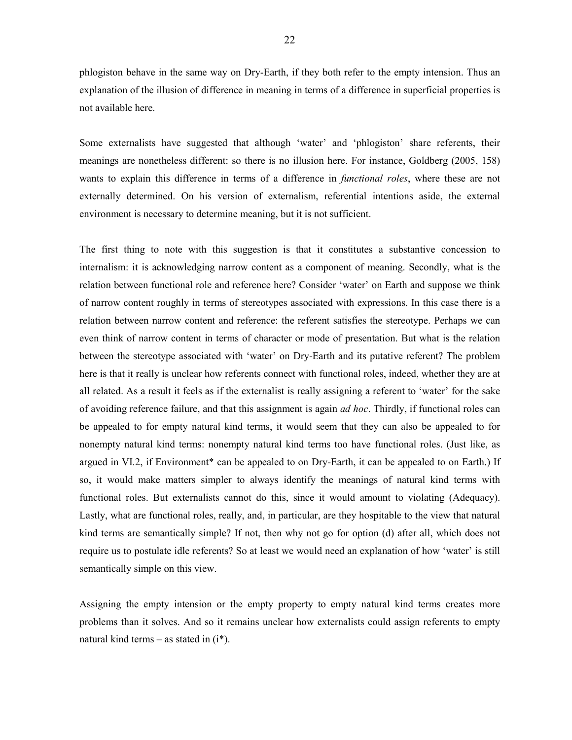phlogiston behave in the same way on Dry-Earth, if they both refer to the empty intension. Thus an explanation of the illusion of difference in meaning in terms of a difference in superficial properties is not available here.

Some externalists have suggested that although 'water' and 'phlogiston' share referents, their meanings are nonetheless different: so there is no illusion here. For instance, Goldberg (2005, 158) wants to explain this difference in terms of a difference in *functional roles*, where these are not externally determined. On his version of externalism, referential intentions aside, the external environment is necessary to determine meaning, but it is not sufficient.

The first thing to note with this suggestion is that it constitutes a substantive concession to internalism: it is acknowledging narrow content as a component of meaning. Secondly, what is the relation between functional role and reference here? Consider 'water' on Earth and suppose we think of narrow content roughly in terms of stereotypes associated with expressions. In this case there is a relation between narrow content and reference: the referent satisfies the stereotype. Perhaps we can even think of narrow content in terms of character or mode of presentation. But what is the relation between the stereotype associated with 'water' on Dry-Earth and its putative referent? The problem here is that it really is unclear how referents connect with functional roles, indeed, whether they are at all related. As a result it feels as if the externalist is really assigning a referent to 'water' for the sake of avoiding reference failure, and that this assignment is again *ad hoc*. Thirdly, if functional roles can be appealed to for empty natural kind terms, it would seem that they can also be appealed to for nonempty natural kind terms: nonempty natural kind terms too have functional roles. (Just like, as argued in VI.2, if Environment\* can be appealed to on Dry-Earth, it can be appealed to on Earth.) If so, it would make matters simpler to always identify the meanings of natural kind terms with functional roles. But externalists cannot do this, since it would amount to violating (Adequacy). Lastly, what are functional roles, really, and, in particular, are they hospitable to the view that natural kind terms are semantically simple? If not, then why not go for option (d) after all, which does not require us to postulate idle referents? So at least we would need an explanation of how 'water' is still semantically simple on this view.

Assigning the empty intension or the empty property to empty natural kind terms creates more problems than it solves. And so it remains unclear how externalists could assign referents to empty natural kind terms – as stated in  $(i^*)$ .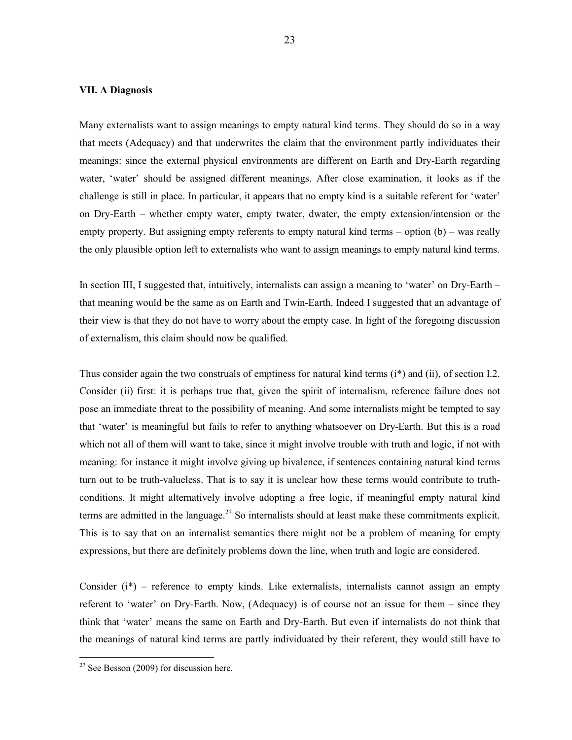# **VII. A Diagnosis**

Many externalists want to assign meanings to empty natural kind terms. They should do so in a way that meets (Adequacy) and that underwrites the claim that the environment partly individuates their meanings: since the external physical environments are different on Earth and Dry-Earth regarding water, 'water' should be assigned different meanings. After close examination, it looks as if the challenge is still in place. In particular, it appears that no empty kind is a suitable referent for 'water' on Dry-Earth – whether empty water, empty twater, dwater, the empty extension/intension or the empty property. But assigning empty referents to empty natural kind terms – option (b) – was really the only plausible option left to externalists who want to assign meanings to empty natural kind terms.

In section III, I suggested that, intuitively, internalists can assign a meaning to 'water' on Dry-Earth – that meaning would be the same as on Earth and Twin-Earth. Indeed I suggested that an advantage of their view is that they do not have to worry about the empty case. In light of the foregoing discussion of externalism, this claim should now be qualified.

Thus consider again the two construals of emptiness for natural kind terms (i\*) and (ii), of section I.2. Consider (ii) first: it is perhaps true that, given the spirit of internalism, reference failure does not pose an immediate threat to the possibility of meaning. And some internalists might be tempted to say that 'water' is meaningful but fails to refer to anything whatsoever on Dry-Earth. But this is a road which not all of them will want to take, since it might involve trouble with truth and logic, if not with meaning: for instance it might involve giving up bivalence, if sentences containing natural kind terms turn out to be truth-valueless. That is to say it is unclear how these terms would contribute to truthconditions. It might alternatively involve adopting a free logic, if meaningful empty natural kind terms are admitted in the language.<sup>27</sup> So internalists should at least make these commitments explicit. This is to say that on an internalist semantics there might not be a problem of meaning for empty expressions, but there are definitely problems down the line, when truth and logic are considered.

Consider  $(i^*)$  – reference to empty kinds. Like externalists, internalists cannot assign an empty referent to 'water' on Dry-Earth. Now, (Adequacy) is of course not an issue for them – since they think that 'water' means the same on Earth and Dry-Earth. But even if internalists do not think that the meanings of natural kind terms are partly individuated by their referent, they would still have to

<u>.</u>

 $27$  See Besson (2009) for discussion here.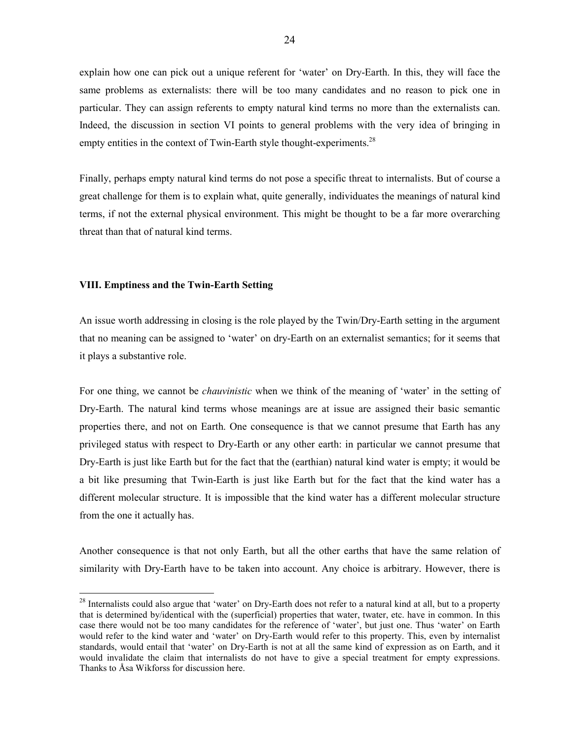explain how one can pick out a unique referent for 'water' on Dry-Earth. In this, they will face the same problems as externalists: there will be too many candidates and no reason to pick one in particular. They can assign referents to empty natural kind terms no more than the externalists can. Indeed, the discussion in section VI points to general problems with the very idea of bringing in empty entities in the context of Twin-Earth style thought-experiments.<sup>28</sup>

Finally, perhaps empty natural kind terms do not pose a specific threat to internalists. But of course a great challenge for them is to explain what, quite generally, individuates the meanings of natural kind terms, if not the external physical environment. This might be thought to be a far more overarching threat than that of natural kind terms.

# **VIII. Emptiness and the Twin-Earth Setting**

<u>.</u>

An issue worth addressing in closing is the role played by the Twin/Dry-Earth setting in the argument that no meaning can be assigned to 'water' on dry-Earth on an externalist semantics; for it seems that it plays a substantive role.

For one thing, we cannot be *chauvinistic* when we think of the meaning of 'water' in the setting of Dry-Earth. The natural kind terms whose meanings are at issue are assigned their basic semantic properties there, and not on Earth. One consequence is that we cannot presume that Earth has any privileged status with respect to Dry-Earth or any other earth: in particular we cannot presume that Dry-Earth is just like Earth but for the fact that the (earthian) natural kind water is empty; it would be a bit like presuming that Twin-Earth is just like Earth but for the fact that the kind water has a different molecular structure. It is impossible that the kind water has a different molecular structure from the one it actually has.

Another consequence is that not only Earth, but all the other earths that have the same relation of similarity with Dry-Earth have to be taken into account. Any choice is arbitrary. However, there is

<sup>&</sup>lt;sup>28</sup> Internalists could also argue that 'water' on Dry-Earth does not refer to a natural kind at all, but to a property that is determined by/identical with the (superficial) properties that water, twater, etc. have in common. In this case there would not be too many candidates for the reference of 'water', but just one. Thus 'water' on Earth would refer to the kind water and 'water' on Dry-Earth would refer to this property. This, even by internalist standards, would entail that 'water' on Dry-Earth is not at all the same kind of expression as on Earth, and it would invalidate the claim that internalists do not have to give a special treatment for empty expressions. Thanks to Åsa Wikforss for discussion here.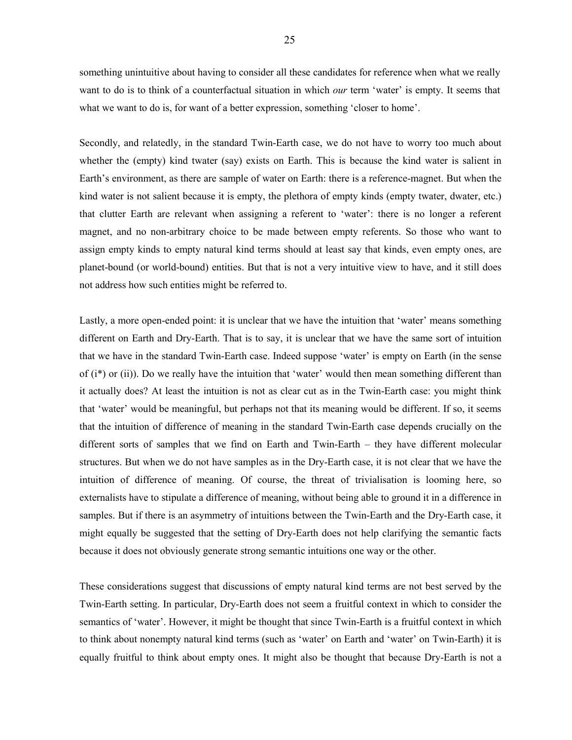something unintuitive about having to consider all these candidates for reference when what we really want to do is to think of a counterfactual situation in which *our* term 'water' is empty. It seems that what we want to do is, for want of a better expression, something 'closer to home'.

Secondly, and relatedly, in the standard Twin-Earth case, we do not have to worry too much about whether the (empty) kind twater (say) exists on Earth. This is because the kind water is salient in Earth's environment, as there are sample of water on Earth: there is a reference-magnet. But when the kind water is not salient because it is empty, the plethora of empty kinds (empty twater, dwater, etc.) that clutter Earth are relevant when assigning a referent to 'water': there is no longer a referent magnet, and no non-arbitrary choice to be made between empty referents. So those who want to assign empty kinds to empty natural kind terms should at least say that kinds, even empty ones, are planet-bound (or world-bound) entities. But that is not a very intuitive view to have, and it still does not address how such entities might be referred to.

Lastly, a more open-ended point: it is unclear that we have the intuition that 'water' means something different on Earth and Dry-Earth. That is to say, it is unclear that we have the same sort of intuition that we have in the standard Twin-Earth case. Indeed suppose 'water' is empty on Earth (in the sense of  $(i^*)$  or  $(ii)$ ). Do we really have the intuition that 'water' would then mean something different than it actually does? At least the intuition is not as clear cut as in the Twin-Earth case: you might think that 'water' would be meaningful, but perhaps not that its meaning would be different. If so, it seems that the intuition of difference of meaning in the standard Twin-Earth case depends crucially on the different sorts of samples that we find on Earth and Twin-Earth – they have different molecular structures. But when we do not have samples as in the Dry-Earth case, it is not clear that we have the intuition of difference of meaning. Of course, the threat of trivialisation is looming here, so externalists have to stipulate a difference of meaning, without being able to ground it in a difference in samples. But if there is an asymmetry of intuitions between the Twin-Earth and the Dry-Earth case, it might equally be suggested that the setting of Dry-Earth does not help clarifying the semantic facts because it does not obviously generate strong semantic intuitions one way or the other.

These considerations suggest that discussions of empty natural kind terms are not best served by the Twin-Earth setting. In particular, Dry-Earth does not seem a fruitful context in which to consider the semantics of 'water'. However, it might be thought that since Twin-Earth is a fruitful context in which to think about nonempty natural kind terms (such as 'water' on Earth and 'water' on Twin-Earth) it is equally fruitful to think about empty ones. It might also be thought that because Dry-Earth is not a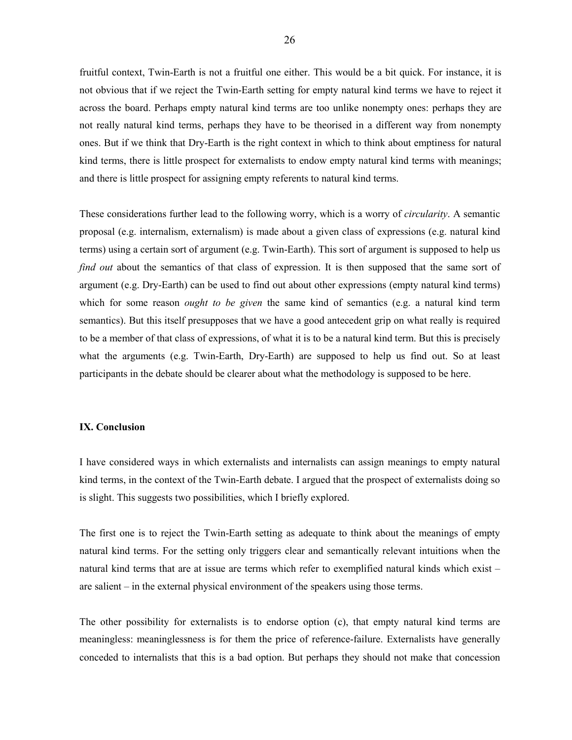fruitful context, Twin-Earth is not a fruitful one either. This would be a bit quick. For instance, it is not obvious that if we reject the Twin-Earth setting for empty natural kind terms we have to reject it across the board. Perhaps empty natural kind terms are too unlike nonempty ones: perhaps they are not really natural kind terms, perhaps they have to be theorised in a different way from nonempty ones. But if we think that Dry-Earth is the right context in which to think about emptiness for natural kind terms, there is little prospect for externalists to endow empty natural kind terms with meanings; and there is little prospect for assigning empty referents to natural kind terms.

These considerations further lead to the following worry, which is a worry of *circularity*. A semantic proposal (e.g. internalism, externalism) is made about a given class of expressions (e.g. natural kind terms) using a certain sort of argument (e.g. Twin-Earth). This sort of argument is supposed to help us *find out* about the semantics of that class of expression. It is then supposed that the same sort of argument (e.g. Dry-Earth) can be used to find out about other expressions (empty natural kind terms) which for some reason *ought to be given* the same kind of semantics (e.g. a natural kind term semantics). But this itself presupposes that we have a good antecedent grip on what really is required to be a member of that class of expressions, of what it is to be a natural kind term. But this is precisely what the arguments (e.g. Twin-Earth, Dry-Earth) are supposed to help us find out. So at least participants in the debate should be clearer about what the methodology is supposed to be here.

# **IX. Conclusion**

I have considered ways in which externalists and internalists can assign meanings to empty natural kind terms, in the context of the Twin-Earth debate. I argued that the prospect of externalists doing so is slight. This suggests two possibilities, which I briefly explored.

The first one is to reject the Twin-Earth setting as adequate to think about the meanings of empty natural kind terms. For the setting only triggers clear and semantically relevant intuitions when the natural kind terms that are at issue are terms which refer to exemplified natural kinds which exist – are salient – in the external physical environment of the speakers using those terms.

The other possibility for externalists is to endorse option (c), that empty natural kind terms are meaningless: meaninglessness is for them the price of reference-failure. Externalists have generally conceded to internalists that this is a bad option. But perhaps they should not make that concession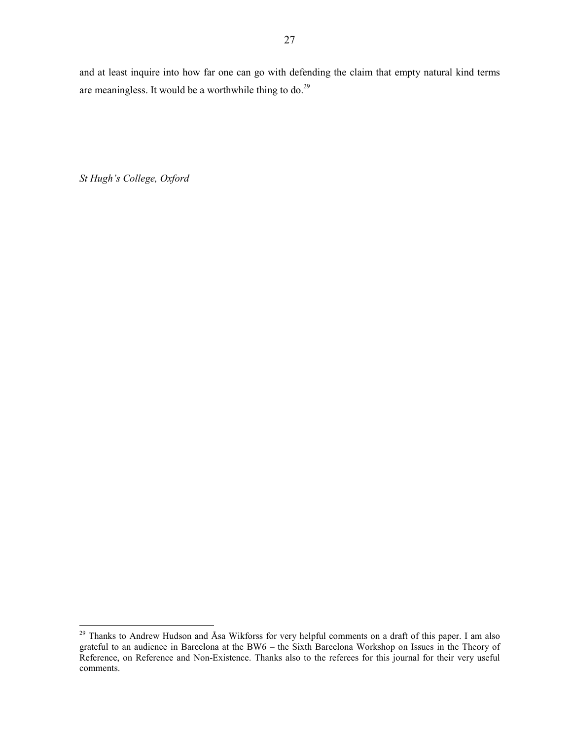and at least inquire into how far one can go with defending the claim that empty natural kind terms are meaningless. It would be a worthwhile thing to do.<sup>29</sup>

*St Hugh's College, Oxford* 

<u>.</u>

<sup>&</sup>lt;sup>29</sup> Thanks to Andrew Hudson and Åsa Wikforss for very helpful comments on a draft of this paper. I am also grateful to an audience in Barcelona at the BW6 – the Sixth Barcelona Workshop on Issues in the Theory of Reference, on Reference and Non-Existence. Thanks also to the referees for this journal for their very useful comments.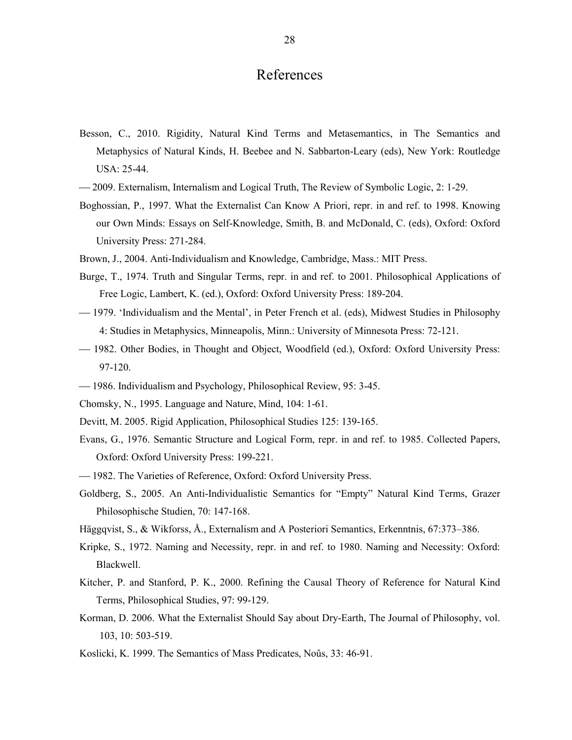# References

- Besson, C., 2010. Rigidity, Natural Kind Terms and Metasemantics, in The Semantics and Metaphysics of Natural Kinds, H. Beebee and N. Sabbarton-Leary (eds), New York: Routledge USA: 25-44.
- 2009. Externalism, Internalism and Logical Truth, The Review of Symbolic Logic, 2: 1-29.
- Boghossian, P., 1997. What the Externalist Can Know A Priori, repr. in and ref. to 1998. Knowing our Own Minds: Essays on Self-Knowledge, Smith, B. and McDonald, C. (eds), Oxford: Oxford University Press: 271-284.
- Brown, J., 2004. Anti-Individualism and Knowledge, Cambridge, Mass.: MIT Press.
- Burge, T., 1974. Truth and Singular Terms, repr. in and ref. to 2001. Philosophical Applications of Free Logic, Lambert, K. (ed.), Oxford: Oxford University Press: 189-204.
- 1979. 'Individualism and the Mental', in Peter French et al. (eds), Midwest Studies in Philosophy 4: Studies in Metaphysics, Minneapolis, Minn.: University of Minnesota Press: 72-121.
- 1982. Other Bodies, in Thought and Object, Woodfield (ed.), Oxford: Oxford University Press: 97-120.
- 1986. Individualism and Psychology, Philosophical Review, 95: 3-45.
- Chomsky, N., 1995. Language and Nature, Mind, 104: 1-61.
- Devitt, M. 2005. Rigid Application, Philosophical Studies 125: 139-165.
- Evans, G., 1976. Semantic Structure and Logical Form, repr. in and ref. to 1985. Collected Papers, Oxford: Oxford University Press: 199-221.
- 1982. The Varieties of Reference, Oxford: Oxford University Press.
- Goldberg, S., 2005. An Anti-Individualistic Semantics for "Empty" Natural Kind Terms, Grazer Philosophische Studien, 70: 147-168.
- Häggqvist, S., & Wikforss, Å., Externalism and A Posteriori Semantics, Erkenntnis, 67:373–386.
- Kripke, S., 1972. Naming and Necessity, repr. in and ref. to 1980. Naming and Necessity: Oxford: Blackwell.
- Kitcher, P. and Stanford, P. K., 2000. Refining the Causal Theory of Reference for Natural Kind Terms, Philosophical Studies, 97: 99-129.
- Korman, D. 2006. What the Externalist Should Say about Dry-Earth, The Journal of Philosophy, vol. 103, 10: 503-519.
- Koslicki, K. 1999. The Semantics of Mass Predicates, Noûs, 33: 46-91.